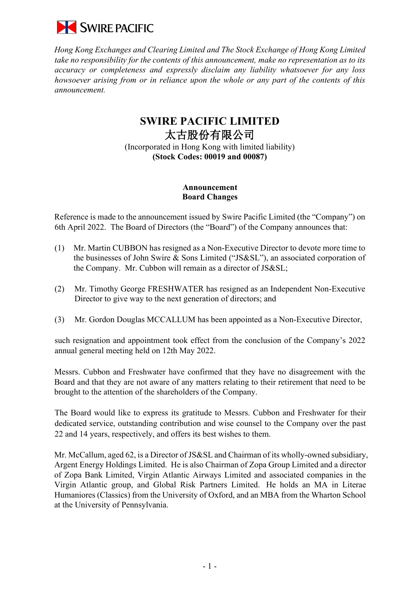

*Hong Kong Exchanges and Clearing Limited and The Stock Exchange of Hong Kong Limited take no responsibility for the contents of this announcement, make no representation as to its accuracy or completeness and expressly disclaim any liability whatsoever for any loss howsoever arising from or in reliance upon the whole or any part of the contents of this announcement.*

## **SWIRE PACIFIC LIMITED**  太古股份有限公司 (Incorporated in Hong Kong with limited liability)

**(Stock Codes: 00019 and 00087)**

## **Announcement Board Changes**

Reference is made to the announcement issued by Swire Pacific Limited (the "Company") on 6th April 2022. The Board of Directors (the "Board") of the Company announces that:

- (1) Mr. Martin CUBBON has resigned as a Non-Executive Director to devote more time to the businesses of John Swire & Sons Limited ("JS&SL"), an associated corporation of the Company. Mr. Cubbon will remain as a director of JS&SL;
- (2) Mr. Timothy George FRESHWATER has resigned as an Independent Non-Executive Director to give way to the next generation of directors; and
- (3) Mr. Gordon Douglas MCCALLUM has been appointed as a Non-Executive Director,

such resignation and appointment took effect from the conclusion of the Company's 2022 annual general meeting held on 12th May 2022.

Messrs. Cubbon and Freshwater have confirmed that they have no disagreement with the Board and that they are not aware of any matters relating to their retirement that need to be brought to the attention of the shareholders of the Company.

The Board would like to express its gratitude to Messrs. Cubbon and Freshwater for their dedicated service, outstanding contribution and wise counsel to the Company over the past 22 and 14 years, respectively, and offers its best wishes to them.

Mr. McCallum, aged 62, is a Director of JS&SL and Chairman of its wholly-owned subsidiary, Argent Energy Holdings Limited. He is also Chairman of Zopa Group Limited and a director of Zopa Bank Limited, Virgin Atlantic Airways Limited and associated companies in the Virgin Atlantic group, and Global Risk Partners Limited. He holds an MA in Literae Humaniores (Classics) from the University of Oxford, and an MBA from the Wharton School at the University of Pennsylvania.